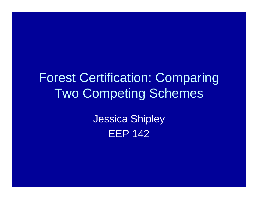#### Forest Certification: Comparing Two Competing Schemes

Jessica Shipley EEP 142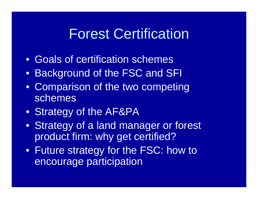#### Forest Certification

- Goals of certification schemes
- Background of the FSC and SFI
- Comparison of the two competing schemes
- Strategy of the AF&PA
- Strategy of a land manager or forest product firm: why get certified?
- Future strategy for the FSC: how to encourage participation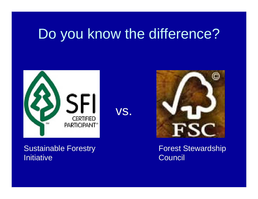# Do you know the difference?



vs.

#### Sustainable Forestry **Initiative**



Forest Stewardship **Council**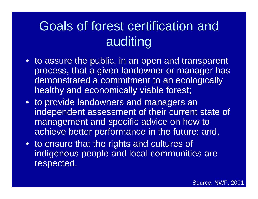## Goals of forest certification and auditing

- to assure the public, in an open and transparent process, that a given landowner or manager has demonstrated a commitment to an ecologically healthy and economically viable forest;
- to provide landowners and managers an independent assessment of their current state of management and specific advice on how to achieve better performance in the future; and,
- to ensure that the rights and cultures of indigenous people and local communities are respected.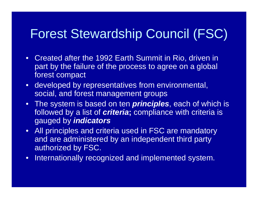#### Forest Stewardship Council (FSC)

- Created after the 1992 Earth Summit in Rio, driven in part by the failure of the process to agree on a global forest compact
- developed by representatives from environmental, social, and forest management groups
- The system is based on ten *principles*, each of which is followed by a list of *criteria***;** compliance with criteria is gauged by *indicators*
- All principles and criteria used in FSC are mandatory and are administered by an independent third party authorized by FSC.
- $\bullet$ Internationally recognized and implemented system.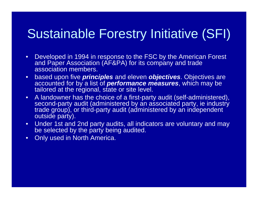#### Sustainable Forestry Initiative (SFI)

- • Developed in 1994 in response to the FSC by the American Forest and Paper Association (AF&PA) for its company and trade association members.
- $\bullet$  based upon five *principles* and eleven *objectives*. Objectives are accounted for by a list of *performance measures*, which may be tailored at the regional, state or site level.
- $\bullet$  A landowner has the choice of a first-party audit (self-administered), second-party audit (administered by an associated party, ie industry trade group), or third-party audit (administered by an independent outside party).
- Under 1st and 2nd party audits, all indicators are voluntary and may be selected by the party being audited.
- $\bullet$ **Only used in North America.**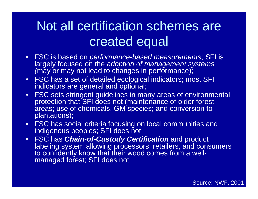#### Not all certification schemes are created equal

- FSC is based on *performance-based measurements*; SFI is largely focused on the *adoption of management systems (*may or may not lead to changes in performance);
- FSC has a set of detailed ecological indicators; most SFI indicators are general and optional;
- FSC sets stringent guidelines in many areas of environmental protection that SFI does not (maintenance of older forest areas; use of chemicals, GM species; and conversion to plantations);
- FSC has social criteria focusing on local communities and indigenous peoples; SFI does not;
- FSC has *Chain-of-Custody Certification* and product labeling system allowing processors, retailers, and consumers to confidently know that their wood comes from a wellmanaged forest; SFI does not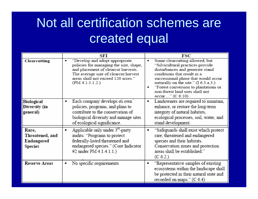#### Not all certification schemes are created equal

|                                                          | SFI                                                                                                                                                                                                                                | FSC                                                                                                                                                                                                                                                                                                                                                  |
|----------------------------------------------------------|------------------------------------------------------------------------------------------------------------------------------------------------------------------------------------------------------------------------------------|------------------------------------------------------------------------------------------------------------------------------------------------------------------------------------------------------------------------------------------------------------------------------------------------------------------------------------------------------|
| Clearcutting                                             | "Develop and adopt appropriate<br>$\blacksquare$<br>policies for managing the size, shape,<br>and placement of clearcut harvests.<br>The average size of clearcut harvest<br>areas shall not exceed 120 acres."<br>(PM 4.1.5.1.2.) | Some clearcutting allowed, but<br>$\blacksquare$<br>"Silvicultural practices provide<br>disturbances and generate stand<br>conditions that result in a<br>successional phase that would occur<br>naturally on the site." (I 6.3.a.3.)<br>"Forest conversion to plantations or<br>$\blacksquare$<br>non-forest land uses shall not<br>occur" (C 6.10) |
| Biological<br>Diversity (in<br>general)                  | Each company develops its own<br>٠<br>policies, programs, and plans to<br>contribute to the conservation of<br>biological diversity and manage sites<br>of ecological significance.                                                | Landowners are required to maintain,<br>$\blacksquare$<br>enhance, or restore the long-term<br>integrity of natural habitats,<br>ecological processes, soil, water, and<br>stand development.                                                                                                                                                        |
| Rare,<br>Threatened, and<br>Endangered<br><b>Species</b> | Applicable only under 3 <sup>rd</sup> -party<br>$\blacksquare$<br>audits: "Programs to protect<br>federally-listed threatened and<br>endangered species." (Core Indicator<br>#2 under PM 4.1.4.1.1.)                               | "Safeguards shall exist which protect<br>$\blacksquare$<br>rare, threatened and endangered<br>species and their habitats.<br>Conservation zones and protection<br>areas shall be established."<br>(C 6.2.)                                                                                                                                           |
| <b>Reserve Areas</b>                                     | No specific requirements<br>$\blacksquare$                                                                                                                                                                                         | "Representative samples of existing<br>$\blacksquare$<br>ecosystems within the landscape shall<br>be protected in their natural state and<br>recorded on maps." (C 6.4)                                                                                                                                                                              |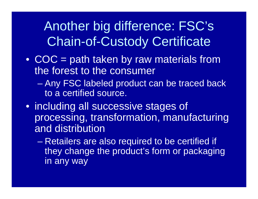#### Another big difference: FSC's Chain-of-Custody Certificate

- COC = path taken by raw materials from the forest to the consumer
	- **Line Communication**  Any FSC labeled product can be traced back to a certified source.
- including all successive stages of processing, transformation, manufacturing and distribution
	- – Retailers are also required to be certified if they change the product's form or packaging in any way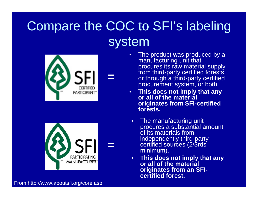## Compare the COC to SFI's labeling system





**=**

From http://www.aboutsfi.org/core.asp

- • The product was produced by a manufacturing unit that procures its raw material supply from third-party certified forests or through a third-party certified procurement system, or both.
- • **This does not imply that any or all of the material originates from SFI-certified forests.**
- $\bullet$  The manufacturing unit procures a substantial amount of its materials from independently third-party certified sources (2/3rds minimum).
- $\bullet$  **This does not imply that any or all of the material originates from an SFIcertified forest.**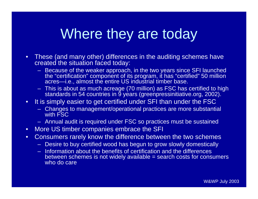## Where they are today

- • These (and many other) differences in the auditing schemes have created the situation faced today:
	- Because of the weaker approach, in the two years since SFI launched the "certification" component of its program, it has "certified" 50 million acres—i.e., almost the entire US industrial timber base.
	- This is about as much acreage (70 million) as FSC has certified to high standards in 54 countries in 9 years (greenpressinitiative.org, 2002).
- • It is simply easier to get certified under SFI than under the FSC
	- Changes to management/operational practices are more substantial with FSC
	- Annual audit is required under FSC so practices must be sustained
- $\bullet$ More US timber companies embrace the SFI
- • Consumers rarely know the difference between the two schemes
	- Desire to buy certified wood has begun to grow slowly domestically
	- Information about the benefits of certification and the differences between schemes is not widely available = search costs for consumers who do care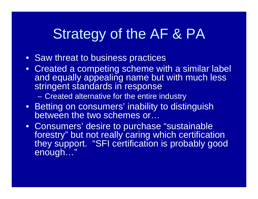# Strategy of the AF & PA

- Saw threat to business practices
- Created a competing scheme with a similar label and equally appealing name but with much less stringent standards in response

–Created alternative for the entire industry

- Betting on consumers' inability to distinguish between the two schemes or…
- Consumers' desire to purchase "sustainable forestry" but not really caring which certification they support. "SFI certification is probably good enough…"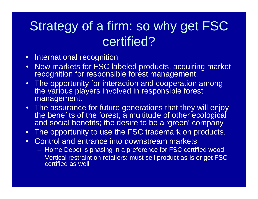#### Strategy of a firm: so why get FSC certified?

- International recognition
- $\bullet$  New markets for FSC labeled products, acquiring market recognition for responsible forest management.
- The opportunity for interaction and cooperation among the various players involved in responsible forest management.
- The assurance for future generations that they will enjoy the benefits of the forest; a multitude of other ecological and social benefits; the desire to be a 'green' company
- $\bullet$ The opportunity to use the FSC trademark on products.
- Control and entrance into downstream markets
	- **Hart Communication** Home Depot is phasing in a preference for FSC certified wood
	- Vertical restraint on retailers: must sell product as-is or get FSC certified as well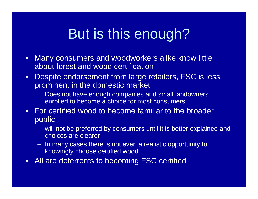# But is this enough?

- $\bullet$  Many consumers and woodworkers alike know little about forest and wood certification
- $\bullet$ Despite endorsement from large retailers, FSC is less prominent in the domestic market
	- Does not have enough companies and small landowners enrolled to become a choice for most consumers
- For certified wood to become familiar to the broader public
	- will not be preferred by consumers until it is better explained and choices are clearer
	- In many cases there is not even a realistic opportunity to knowingly choose certified wood
- All are deterrents to becoming FSC certified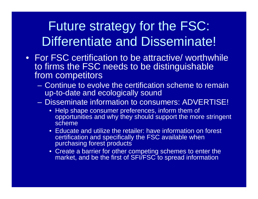#### Future strategy for the FSC: Differentiate and Disseminate!

- For FSC certification to be attractive/ worthwhile to firms the FSC needs to be distinguishable from competitors
	- Continue to evolve the certification scheme to remain up-to-date and ecologically sound
	- Disseminate information to consumers: ADVERTISE!
		- Help shape consumer preferences, inform them of opportunities and why they should support the more stringent scheme
		- Educate and utilize the retailer: have information on forest certification and specifically the FSC available when purchasing forest products
		- Create a barrier for other competing schemes to enter the market, and be the first of SFI/FSC to spread information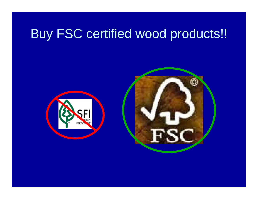#### Buy FSC certified wood products!!